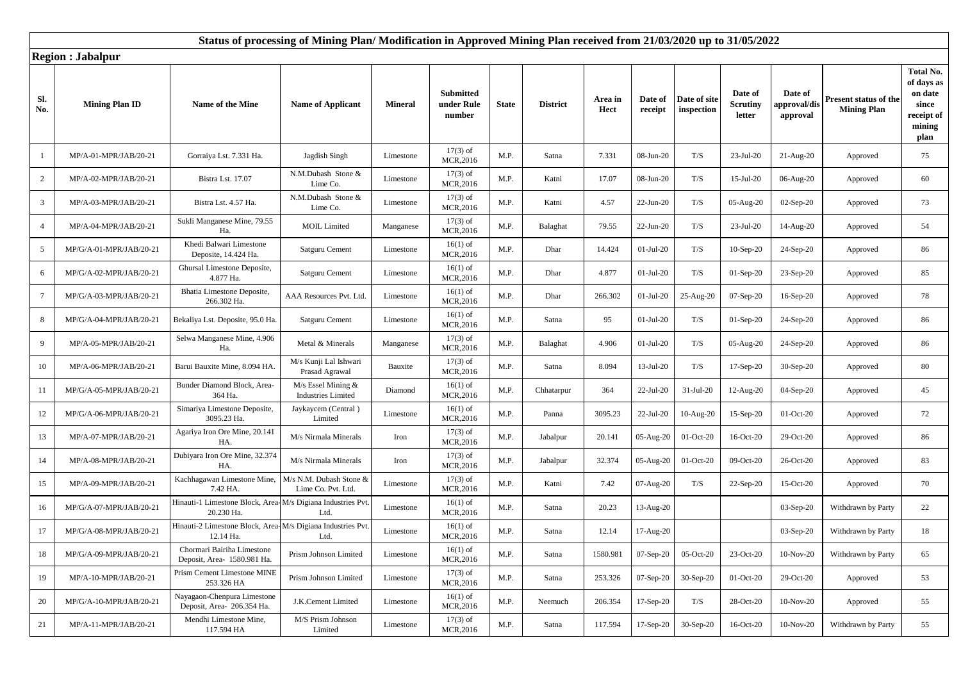## **Status of processing of Mining Plan/ Modification in Approved Mining Plan received from 21/03/2020 up to 31/05/2022**

**Region : Jabalpur**

|                 | Region : Japaipur       |                                                                          |                                                 |                |                                          |              |                 |                 |                    |                            |                               |                                    |                                                    |                                                                                    |
|-----------------|-------------------------|--------------------------------------------------------------------------|-------------------------------------------------|----------------|------------------------------------------|--------------|-----------------|-----------------|--------------------|----------------------------|-------------------------------|------------------------------------|----------------------------------------------------|------------------------------------------------------------------------------------|
| Sl.<br>No.      | <b>Mining Plan ID</b>   | Name of the Mine                                                         | <b>Name of Applicant</b>                        | <b>Mineral</b> | <b>Submitted</b><br>under Rule<br>number | <b>State</b> | <b>District</b> | Area in<br>Hect | Date of<br>receipt | Date of site<br>inspection | Date of<br>Scrutiny<br>letter | Date of<br>pproval/dis<br>approval | <b>Present status of the</b><br><b>Mining Plan</b> | <b>Total No.</b><br>of days as<br>on date<br>since<br>receipt of<br>mining<br>plan |
|                 | MP/A-01-MPR/JAB/20-21   | Gorraiya Lst. 7.331 Ha.                                                  | Jagdish Singh                                   | Limestone      | $17(3)$ of<br>MCR,2016                   | M.P.         | Satna           | 7.331           | 08-Jun-20          | T/S                        | 23-Jul-20                     | $21-Aug-20$                        | Approved                                           | 75                                                                                 |
| $\overline{2}$  | MP/A-02-MPR/JAB/20-21   | Bistra Lst. 17.07                                                        | N.M.Dubash Stone &<br>Lime Co.                  | Limestone      | $17(3)$ of<br>MCR, 2016                  | M.P.         | Katni           | 17.07           | 08-Jun-20          | T/S                        | $15$ -Jul-20                  | 06-Aug-20                          | Approved                                           | 60                                                                                 |
| $\mathfrak{Z}$  | MP/A-03-MPR/JAB/20-21   | Bistra Lst. 4.57 Ha.                                                     | N.M.Dubash Stone &<br>Lime Co.                  | Limestone      | $17(3)$ of<br>MCR,2016                   | M.P.         | Katni           | 4.57            | $22-Jun-20$        | T/S                        | 05-Aug-20                     | $02-Sep-20$                        | Approved                                           | 73                                                                                 |
| $\overline{4}$  | MP/A-04-MPR/JAB/20-21   | Sukli Manganese Mine, 79.55<br>Ha.                                       | <b>MOIL Limited</b>                             | Manganese      | $17(3)$ of<br>MCR,2016                   | M.P.         | Balaghat        | 79.55           | $22-Jun-20$        | T/S                        | 23-Jul-20                     | 14-Aug-20                          | Approved                                           | 54                                                                                 |
| 5               | MP/G/A-01-MPR/JAB/20-21 | Khedi Balwari Limestone<br>Deposite, 14.424 Ha.                          | Satguru Cement                                  | Limestone      | $16(1)$ of<br>MCR, 2016                  | M.P.         | Dhar            | 14.424          | $01-Jul-20$        | T/S                        | $10-Sep-20$                   | 24-Sep-20                          | Approved                                           | 86                                                                                 |
| 6               | MP/G/A-02-MPR/JAB/20-21 | Ghursal Limestone Deposite,<br>4.877 Ha.                                 | Satguru Cement                                  | Limestone      | $16(1)$ of<br>MCR, 2016                  | M.P.         | Dhar            | 4.877           | $01-Jul-20$        | T/S                        | $01-Sep-20$                   | $23-Sep-20$                        | Approved                                           | 85                                                                                 |
| $7\phantom{.0}$ | MP/G/A-03-MPR/JAB/20-21 | Bhatia Limestone Deposite,<br>266.302 Ha.                                | AAA Resources Pvt. Ltd                          | Limestone      | $16(1)$ of<br>MCR, 2016                  | M.P.         | Dhar            | 266.302         | $01-Jul-20$        | 25-Aug-20                  | $07-Sep-20$                   | $16-Sep-20$                        | Approved                                           | 78                                                                                 |
| 8               | MP/G/A-04-MPR/JAB/20-21 | Bekaliya Lst. Deposite, 95.0 Ha.                                         | Satguru Cement                                  | Limestone      | $16(1)$ of<br>MCR, 2016                  | M.P.         | Satna           | 95              | $01-Jul-20$        | T/S                        | $01-Sep-20$                   | 24-Sep-20                          | Approved                                           | 86                                                                                 |
| 9               | MP/A-05-MPR/JAB/20-21   | Selwa Manganese Mine, 4.906<br>Ha.                                       | Metal & Minerals                                | Manganese      | $17(3)$ of<br><b>MCR,2016</b>            | M.P.         | Balaghat        | 4.906           | $01-Jul-20$        | T/S                        | 05-Aug-20                     | $24-Sep-20$                        | Approved                                           | 86                                                                                 |
| 10              | MP/A-06-MPR/JAB/20-21   | Barui Bauxite Mine, 8.094 HA.                                            | M/s Kunji Lal Ishwari<br>Prasad Agrawal         | Bauxite        | $17(3)$ of<br>MCR, 2016                  | M.P.         | Satna           | 8.094           | $13-Jul-20$        | T/S                        | 17-Sep-20                     | 30-Sep-20                          | Approved                                           | 80                                                                                 |
| 11              | MP/G/A-05-MPR/JAB/20-21 | Bunder Diamond Block, Area-<br>364 Ha                                    | M/s Essel Mining &<br><b>Industries Limited</b> | Diamond        | $16(1)$ of<br><b>MCR,2016</b>            | M.P.         | Chhatarpur      | 364             | $22-Jul-20$        | 31-Jul-20                  | 12-Aug-20                     | $04-Sep-20$                        | Approved                                           | 45                                                                                 |
| 12              | MP/G/A-06-MPR/JAB/20-21 | Simariya Limestone Deposite,<br>3095.23 Ha.                              | Jaykaycem (Central)<br>Limited                  | Limestone      | $16(1)$ of<br>MCR,2016                   | M.P.         | Panna           | 3095.23         | $22-Jul-20$        | 10-Aug-20                  | $15-Sep-20$                   | 01-Oct-20                          | Approved                                           | 72                                                                                 |
| 13              | MP/A-07-MPR/JAB/20-21   | Agariya Iron Ore Mine, 20.141<br>HA.                                     | M/s Nirmala Minerals                            | Iron           | $17(3)$ of<br>MCR,2016                   | M.P.         | Jabalpur        | 20.141          | 05-Aug-20          | 01-Oct-20                  | 16-Oct-20                     | 29-Oct-20                          | Approved                                           | 86                                                                                 |
| 14              | MP/A-08-MPR/JAB/20-21   | Dubiyara Iron Ore Mine, 32.374<br>HA.                                    | M/s Nirmala Minerals                            | Iron           | $17(3)$ of<br>MCR, 2016                  | M.P.         | Jabalpur        | 32.374          | 05-Aug-20          | 01-Oct-20                  | 09-Oct-20                     | 26-Oct-20                          | Approved                                           | 83                                                                                 |
| 15              | MP/A-09-MPR/JAB/20-21   | Kachhagawan Limestone Mine,<br>7.42 HA.                                  | M/s N.M. Dubash Stone &<br>Lime Co. Pvt. Ltd.   | Limestone      | $17(3)$ of<br>MCR, 2016                  | M.P.         | Katni           | 7.42            | 07-Aug-20          | T/S                        | 22-Sep-20                     | 15-Oct-20                          | Approved                                           | 70                                                                                 |
| 16              | MP/G/A-07-MPR/JAB/20-21 | Hinauti-1 Limestone Block, Area-M/s Digiana Industries Pvt<br>20.230 Ha. | Ltd.                                            | Limestone      | $16(1)$ of<br>MCR,2016                   | M.P.         | Satna           | 20.23           | 13-Aug-20          |                            |                               | $03-Sep-20$                        | Withdrawn by Party                                 | 22                                                                                 |
| 17              | MP/G/A-08-MPR/JAB/20-21 | Hinauti-2 Limestone Block, Area-M/s Digiana Industries Pvt<br>12.14 Ha.  | Ltd.                                            | Limestone      | $16(1)$ of<br>MCR, 2016                  | M.P.         | Satna           | 12.14           | 17-Aug-20          |                            |                               | 03-Sep-20                          | Withdrawn by Party                                 | 18                                                                                 |
| 18              | MP/G/A-09-MPR/JAB/20-21 | Chormari Bairiha Limestone<br>Deposit, Area- 1580.981 Ha.                | Prism Johnson Limited                           | Limestone      | $16(1)$ of<br>MCR,2016                   | M.P.         | Satna           | 1580.981        | $07-Sep-20$        | 05-Oct-20                  | 23-Oct-20                     | 10-Nov-20                          | Withdrawn by Party                                 | 65                                                                                 |
| 19              | MP/A-10-MPR/JAB/20-21   | Prism Cement Limestone MINE<br>253.326 HA                                | Prism Johnson Limited                           | Limestone      | $17(3)$ of<br>MCR, 2016                  | M.P.         | Satna           | 253.326         | $07-Sep-20$        | 30-Sep-20                  | 01-Oct-20                     | 29-Oct-20                          | Approved                                           | 53                                                                                 |
| 20              | MP/G/A-10-MPR/JAB/20-21 | Nayagaon-Chenpura Limestone<br>Deposit, Area- 206.354 Ha.                | J.K.Cement Limited                              | Limestone      | $16(1)$ of<br>MCR, 2016                  | M.P.         | Neemuch         | 206.354         | 17-Sep-20          | T/S                        | 28-Oct-20                     | 10-Nov-20                          | Approved                                           | 55                                                                                 |
| 21              | MP/A-11-MPR/JAB/20-21   | Mendhi Limestone Mine,<br>117.594 HA                                     | M/S Prism Johnson<br>Limited                    | Limestone      | $17(3)$ of<br><b>MCR,2016</b>            | M.P.         | Satna           | 117.594         | 17-Sep-20          | 30-Sep-20                  | 16-Oct-20                     | 10-Nov-20                          | Withdrawn by Party                                 | 55                                                                                 |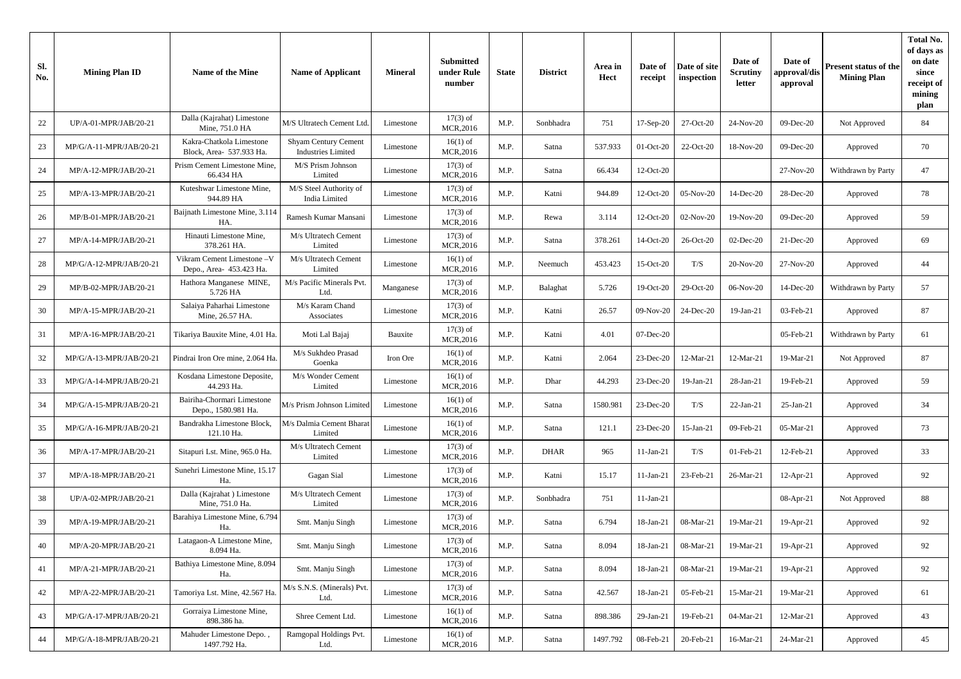| Sl.<br>No. | <b>Mining Plan ID</b>   | Name of the Mine                                      | <b>Name of Applicant</b>                          | <b>Mineral</b> | <b>Submitted</b><br>under Rule<br>number | <b>State</b> | <b>District</b> | Area in<br><b>Hect</b> | Date of<br>receipt | Date of site<br>inspection | Date of<br><b>Scrutiny</b><br>letter | Date of<br>approval/dis<br>approval | Present status of the<br><b>Mining Plan</b> | <b>Total No.</b><br>of days as<br>on date<br>since<br>receipt of<br>mining<br>plan |
|------------|-------------------------|-------------------------------------------------------|---------------------------------------------------|----------------|------------------------------------------|--------------|-----------------|------------------------|--------------------|----------------------------|--------------------------------------|-------------------------------------|---------------------------------------------|------------------------------------------------------------------------------------|
| 22         | UP/A-01-MPR/JAB/20-21   | Dalla (Kajrahat) Limestone<br>Mine, 751.0 HA          | M/S Ultratech Cement Ltd                          | Limestone      | $17(3)$ of<br>MCR, 2016                  | M.P.         | Sonbhadra       | 751                    | 17-Sep-20          | 27-Oct-20                  | 24-Nov-20                            | 09-Dec-20                           | Not Approved                                | 84                                                                                 |
| 23         | MP/G/A-11-MPR/JAB/20-21 | Kakra-Chatkola Limestone<br>Block, Area- 537.933 Ha.  | Shyam Century Cement<br><b>Industries Limited</b> | Limestone      | $16(1)$ of<br>MCR, 2016                  | M.P.         | Satna           | 537.933                | 01-Oct-20          | 22-Oct-20                  | 18-Nov-20                            | 09-Dec-20                           | Approved                                    | 70                                                                                 |
| 24         | MP/A-12-MPR/JAB/20-21   | Prism Cement Limestone Mine.<br>66.434 HA             | M/S Prism Johnson<br>Limited                      | Limestone      | $17(3)$ of<br>MCR, 2016                  | M.P.         | Satna           | 66.434                 | $12-Oct-20$        |                            |                                      | 27-Nov-20                           | Withdrawn by Party                          | 47                                                                                 |
| 25         | MP/A-13-MPR/JAB/20-21   | Kuteshwar Limestone Mine,<br>944.89 HA                | M/S Steel Authority of<br>India Limited           | Limestone      | $17(3)$ of<br><b>MCR,2016</b>            | M.P.         | Katni           | 944.89                 | 12-Oct-20          | 05-Nov-20                  | 14-Dec-20                            | 28-Dec-20                           | Approved                                    | 78                                                                                 |
| 26         | MP/B-01-MPR/JAB/20-21   | Baijnath Limestone Mine, 3.114<br>HA.                 | Ramesh Kumar Mansani                              | Limestone      | $17(3)$ of<br>MCR, 2016                  | M.P.         | Rewa            | 3.114                  | 12-Oct-20          | 02-Nov-20                  | 19-Nov-20                            | 09-Dec-20                           | Approved                                    | 59                                                                                 |
| 27         | MP/A-14-MPR/JAB/20-21   | Hinauti Limestone Mine,<br>378.261 HA.                | M/s Ultratech Cement<br>Limited                   | Limestone      | $17(3)$ of<br>MCR, 2016                  | M.P.         | Satna           | 378.261                | 14-Oct-20          | 26-Oct-20                  | 02-Dec-20                            | 21-Dec-20                           | Approved                                    | 69                                                                                 |
| 28         | MP/G/A-12-MPR/JAB/20-21 | Vikram Cement Limestone-V<br>Depo., Area- 453.423 Ha. | M/s Ultratech Cement<br>Limited                   | Limestone      | $16(1)$ of<br>MCR, 2016                  | M.P.         | Neemuch         | 453.423                | 15-Oct-20          | T/S                        | 20-Nov-20                            | 27-Nov-20                           | Approved                                    | 44                                                                                 |
| 29         | MP/B-02-MPR/JAB/20-21   | Hathora Manganese MINE,<br>5.726 HA                   | M/s Pacific Minerals Pvt<br>Ltd.                  | Manganese      | $17(3)$ of<br>MCR, 2016                  | M.P.         | Balaghat        | 5.726                  | 19-Oct-20          | 29-Oct-20                  | 06-Nov-20                            | 14-Dec-20                           | Withdrawn by Party                          | 57                                                                                 |
| 30         | MP/A-15-MPR/JAB/20-21   | Salaiya Paharhai Limestone<br>Mine, 26.57 HA.         | M/s Karam Chand<br>Associates                     | Limestone      | $17(3)$ of<br>MCR, 2016                  | M.P.         | Katni           | 26.57                  | 09-Nov-20          | 24-Dec-20                  | 19-Jan-21                            | 03-Feb-21                           | Approved                                    | 87                                                                                 |
| 31         | MP/A-16-MPR/JAB/20-21   | Tikariya Bauxite Mine, 4.01 Ha.                       | Moti Lal Bajaj                                    | Bauxite        | $17(3)$ of<br>MCR, 2016                  | M.P.         | Katni           | 4.01                   | $07$ -Dec-20       |                            |                                      | 05-Feb-21                           | Withdrawn by Party                          | 61                                                                                 |
| 32         | MP/G/A-13-MPR/JAB/20-21 | Pindrai Iron Ore mine, 2.064 Ha                       | M/s Sukhdeo Prasad<br>Goenka                      | Iron Ore       | $16(1)$ of<br><b>MCR,2016</b>            | M.P.         | Katni           | 2.064                  | 23-Dec-20          | 12-Mar-21                  | 12-Mar-21                            | 19-Mar-21                           | Not Approved                                | 87                                                                                 |
| 33         | MP/G/A-14-MPR/JAB/20-21 | Kosdana Limestone Deposite,<br>44.293 Ha.             | M/s Wonder Cement<br>Limited                      | Limestone      | $16(1)$ of<br>MCR, 2016                  | M.P.         | Dhar            | 44.293                 | $23$ -Dec-20       | 19-Jan-21                  | 28-Jan-21                            | 19-Feb-21                           | Approved                                    | 59                                                                                 |
| 34         | MP/G/A-15-MPR/JAB/20-21 | Bairiha-Chormari Limestone<br>Depo., 1580.981 Ha.     | M/s Prism Johnson Limited                         | Limestone      | $16(1)$ of<br>MCR, 2016                  | M.P.         | Satna           | 1580.981               | 23-Dec-20          | T/S                        | 22-Jan-21                            | $25$ -Jan-21                        | Approved                                    | 34                                                                                 |
| 35         | MP/G/A-16-MPR/JAB/20-21 | Bandrakha Limestone Block,<br>121.10 Ha.              | M/s Dalmia Cement Bharat<br>Limited               | Limestone      | $16(1)$ of<br>MCR, 2016                  | M.P.         | Satna           | 121.1                  | 23-Dec-20          | 15-Jan-21                  | 09-Feb-21                            | 05-Mar-21                           | Approved                                    | 73                                                                                 |
| 36         | MP/A-17-MPR/JAB/20-21   | Sitapuri Lst. Mine, 965.0 Ha.                         | M/s Ultratech Cement<br>Limited                   | Limestone      | $17(3)$ of<br>MCR, 2016                  | M.P.         | <b>DHAR</b>     | 965                    | $11-Jan-21$        | T/S                        | $01$ -Feb-21                         | 12-Feb-21                           | Approved                                    | 33                                                                                 |
| 37         | MP/A-18-MPR/JAB/20-21   | Sunehri Limestone Mine, 15.17<br>Ha.                  | Gagan Sial                                        | Limestone      | $17(3)$ of<br>MCR, 2016                  | M.P.         | Katni           | 15.17                  | $11$ -Jan-21       | 23-Feb-21                  | 26-Mar-21                            | $12-Apr-21$                         | Approved                                    | 92                                                                                 |
| 38         | UP/A-02-MPR/JAB/20-21   | Dalla (Kajrahat) Limestone<br>Mine, 751.0 Ha.         | M/s Ultratech Cement<br>Limited                   | Limestone      | $17(3)$ of<br>MCR, 2016                  | M.P.         | Sonbhadra       | 751                    | $11-Jan-21$        |                            |                                      | $08-Apr-21$                         | Not Approved                                | 88                                                                                 |
| 39         | MP/A-19-MPR/JAB/20-21   | Barahiya Limestone Mine, 6.794<br>Ha.                 | Smt. Manju Singh                                  | Limestone      | $17(3)$ of<br>MCR, 2016                  | M.P.         | Satna           | 6.794                  | 18-Jan-21          | 08-Mar-21                  | 19-Mar-21                            | 19-Apr-21                           | Approved                                    | 92                                                                                 |
| 40         | MP/A-20-MPR/JAB/20-21   | Latagaon-A Limestone Mine.<br>8.094 Ha.               | Smt. Manju Singh                                  | Limestone      | $17(3)$ of<br>MCR, 2016                  | M.P.         | Satna           | 8.094                  | 18-Jan-21          | 08-Mar-21                  | 19-Mar-21                            | 19-Apr-21                           | Approved                                    | 92                                                                                 |
| 41         | MP/A-21-MPR/JAB/20-21   | Bathiya Limestone Mine, 8.094<br>Ha.                  | Smt. Manju Singh                                  | Limestone      | $17(3)$ of<br>MCR, 2016                  | M.P.         | Satna           | 8.094                  | 18-Jan-21          | 08-Mar-21                  | 19-Mar-21                            | $19-Apr-21$                         | Approved                                    | 92                                                                                 |
| 42         | MP/A-22-MPR/JAB/20-21   | Tamoriya Lst. Mine, 42.567 Ha                         | M/s S.N.S. (Minerals) Pvt<br>Ltd.                 | Limestone      | $17(3)$ of<br>MCR, 2016                  | M.P.         | Satna           | 42.567                 | 18-Jan-21          | 05-Feb-21                  | 15-Mar-21                            | 19-Mar-21                           | Approved                                    | 61                                                                                 |
| 43         | MP/G/A-17-MPR/JAB/20-21 | Gorraiya Limestone Mine,<br>898.386 ha.               | Shree Cement Ltd.                                 | Limestone      | $16(1)$ of<br>MCR, 2016                  | M.P.         | Satna           | 898.386                | 29-Jan-21          | 19-Feb-21                  | 04-Mar-21                            | 12-Mar-21                           | Approved                                    | 43                                                                                 |
| 44         | MP/G/A-18-MPR/JAB/20-21 | Mahuder Limestone Depo.,<br>1497.792 Ha.              | Ramgopal Holdings Pvt.<br>Ltd.                    | Limestone      | $16(1)$ of<br>MCR, 2016                  | M.P.         | Satna           | 1497.792               | 08-Feb-21          | 20-Feb-21                  | 16-Mar-21                            | 24-Mar-21                           | Approved                                    | 45                                                                                 |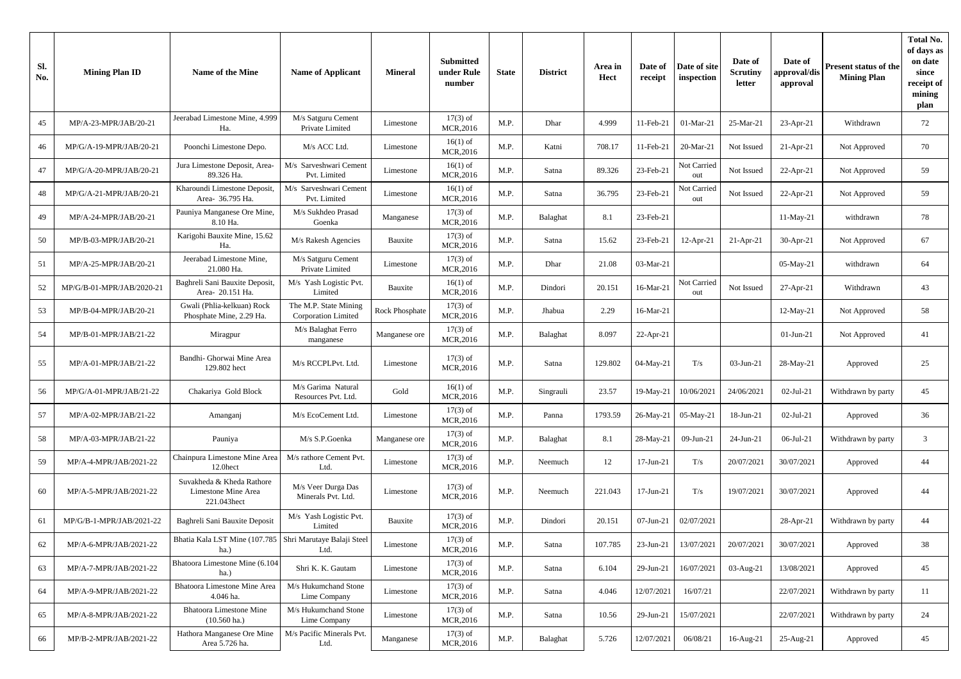| Sl.<br>No. | <b>Mining Plan ID</b>     | Name of the Mine                                                   | <b>Name of Applicant</b>                     | <b>Mineral</b>        | <b>Submitted</b><br>under Rule<br>number | <b>State</b> | <b>District</b> | Area in<br>Hect | Date of<br>receipt | Date of site<br>inspection | Date of<br><b>Scrutiny</b><br>letter | Date of<br>approval/dis<br>approval | Present status of the<br><b>Mining Plan</b> | <b>Total No.</b><br>of days as<br>on date<br>since<br>receipt of<br>mining<br>plan |
|------------|---------------------------|--------------------------------------------------------------------|----------------------------------------------|-----------------------|------------------------------------------|--------------|-----------------|-----------------|--------------------|----------------------------|--------------------------------------|-------------------------------------|---------------------------------------------|------------------------------------------------------------------------------------|
| 45         | MP/A-23-MPR/JAB/20-21     | Jeerabad Limestone Mine, 4.999<br>Ha.                              | M/s Satguru Cement<br>Private Limited        | Limestone             | $17(3)$ of<br>MCR, 2016                  | M.P.         | Dhar            | 4.999           | 11-Feb-21          | 01-Mar-21                  | 25-Mar-21                            | $23-Apr-21$                         | Withdrawn                                   | 72                                                                                 |
| 46         | MP/G/A-19-MPR/JAB/20-21   | Poonchi Limestone Depo.                                            | M/s ACC Ltd.                                 | Limestone             | $16(1)$ of<br>MCR, 2016                  | M.P.         | Katni           | 708.17          | 11-Feb-21          | 20-Mar-21                  | Not Issued                           | $21 - Apr - 21$                     | Not Approved                                | 70                                                                                 |
| 47         | MP/G/A-20-MPR/JAB/20-21   | Jura Limestone Deposit, Area-<br>89.326 Ha.                        | M/s Sarveshwari Cement<br>Pvt. Limited       | Limestone             | $16(1)$ of<br>MCR,2016                   | M.P.         | Satna           | 89.326          | 23-Feb-21          | Not Carried<br>out         | Not Issued                           | $22$ -Apr-21                        | Not Approved                                | 59                                                                                 |
| 48         | MP/G/A-21-MPR/JAB/20-21   | Kharoundi Limestone Deposit,<br>Area- 36.795 Ha.                   | M/s Sarveshwari Cement<br>Pvt. Limited       | Limestone             | $16(1)$ of<br>MCR, 2016                  | M.P.         | Satna           | 36.795          | 23-Feb-21          | Not Carried<br>out         | Not Issued                           | $22-Apr-21$                         | Not Approved                                | 59                                                                                 |
| 49         | MP/A-24-MPR/JAB/20-21     | Pauniya Manganese Ore Mine,<br>8.10 Ha.                            | M/s Sukhdeo Prasad<br>Goenka                 | Manganese             | $17(3)$ of<br>MCR, 2016                  | M.P.         | Balaghat        | 8.1             | 23-Feb-21          |                            |                                      | 11-May-21                           | withdrawn                                   | 78                                                                                 |
| 50         | MP/B-03-MPR/JAB/20-21     | Karigohi Bauxite Mine, 15.62<br>Ha.                                | M/s Rakesh Agencies                          | Bauxite               | $17(3)$ of<br>MCR,2016                   | M.P.         | Satna           | 15.62           | 23-Feb-21          | 12-Apr-21                  | $21-Apr-21$                          | $30-Apr-21$                         | Not Approved                                | 67                                                                                 |
| 51         | MP/A-25-MPR/JAB/20-21     | Jeerabad Limestone Mine,<br>21.080 Ha.                             | M/s Satguru Cement<br>Private Limited        | Limestone             | $17(3)$ of<br>MCR, 2016                  | M.P.         | Dhar            | 21.08           | 03-Mar-21          |                            |                                      | 05-May-21                           | withdrawn                                   | 64                                                                                 |
| 52         | MP/G/B-01-MPR/JAB/2020-21 | Baghreli Sani Bauxite Deposit,<br>Area- 20.151 Ha.                 | M/s Yash Logistic Pvt.<br>Limited            | Bauxite               | $16(1)$ of<br>MCR, 2016                  | M.P.         | Dindori         | 20.151          | 16-Mar-21          | Not Carried<br>out         | Not Issued                           | $27-Apr-21$                         | Withdrawn                                   | 43                                                                                 |
| 53         | MP/B-04-MPR/JAB/20-21     | Gwali (Phlia-kelkuan) Rock<br>Phosphate Mine, 2.29 Ha.             | The M.P. State Mining<br>Corporation Limited | <b>Rock Phosphate</b> | $17(3)$ of<br>MCR, 2016                  | M.P.         | Jhabua          | 2.29            | 16-Mar-21          |                            |                                      | 12-May-21                           | Not Approved                                | 58                                                                                 |
| 54         | MP/B-01-MPR/JAB/21-22     | Miragpur                                                           | M/s Balaghat Ferro<br>manganese              | Manganese ore         | $17(3)$ of<br>MCR, 2016                  | M.P.         | Balaghat        | 8.097           | $22$ -Apr-21       |                            |                                      | $01$ -Jun-21                        | Not Approved                                | 41                                                                                 |
| 55         | MP/A-01-MPR/JAB/21-22     | Bandhi- Ghorwai Mine Area<br>129.802 hect                          | M/s RCCPLPvt. Ltd.                           | Limestone             | $17(3)$ of<br>MCR, 2016                  | M.P.         | Satna           | 129.802         | 04-May-21          | T/s                        | 03-Jun-21                            | 28-May-21                           | Approved                                    | 25                                                                                 |
| 56         | MP/G/A-01-MPR/JAB/21-22   | Chakariya Gold Block                                               | M/s Garima Natural<br>Resources Pvt. Ltd.    | Gold                  | $16(1)$ of<br>MCR, 2016                  | M.P.         | Singrauli       | 23.57           | 19-May-21          | 10/06/2021                 | 24/06/2021                           | 02-Jul-21                           | Withdrawn by party                          | 45                                                                                 |
| 57         | MP/A-02-MPR/JAB/21-22     | Amanganj                                                           | M/s EcoCement Ltd.                           | Limestone             | $17(3)$ of<br>MCR, 2016                  | M.P.         | Panna           | 1793.59         | 26-May-21          | 05-May-21                  | 18-Jun-21                            | $02$ -Jul-21                        | Approved                                    | 36                                                                                 |
| 58         | MP/A-03-MPR/JAB/21-22     | Pauniya                                                            | M/s S.P.Goenka                               | Manganese ore         | $17(3)$ of<br>MCR, 2016                  | M.P.         | Balaghat        | 8.1             | 28-May-21          | 09-Jun-21                  | 24-Jun-21                            | 06-Jul-21                           | Withdrawn by party                          | $\mathbf{3}$                                                                       |
| 59         | MP/A-4-MPR/JAB/2021-22    | Chainpura Limestone Mine Area<br>12.0hect                          | M/s rathore Cement Pvt.<br>Ltd.              | Limestone             | $17(3)$ of<br>MCR, 2016                  | M.P.         | Neemuch         | 12              | 17-Jun-21          | $\rm T/s$                  | 20/07/2021                           | 30/07/2021                          | Approved                                    | 44                                                                                 |
| 60         | MP/A-5-MPR/JAB/2021-22    | Suvakheda & Kheda Rathore<br>Limestone Mine Area<br>221.043hect    | M/s Veer Durga Das<br>Minerals Pvt. Ltd.     | Limestone             | $17(3)$ of<br>MCR, 2016                  | M.P.         | Neemuch         | 221.043         | 17-Jun-21          | T/s                        | 19/07/2021                           | 30/07/2021                          | Approved                                    | 44                                                                                 |
| 61         | MP/G/B-1-MPR/JAB/2021-22  | Baghreli Sani Bauxite Deposit                                      | M/s Yash Logistic Pvt.<br>Limited            | Bauxite               | $17(3)$ of<br>MCR, 2016                  | M.P.         | Dindori         | 20.151          | 07-Jun-21          | 02/07/2021                 |                                      | 28-Apr-21                           | Withdrawn by party                          | 44                                                                                 |
| 62         | MP/A-6-MPR/JAB/2021-22    | Bhatia Kala LST Mine (107.785   Shri Marutaye Balaji Steel<br>ha.) | Ltd.                                         | Limestone             | $17(3)$ of<br>MCR, 2016                  | M.P.         | Satna           | 107.785         | $23$ -Jun-21       | 13/07/2021                 | 20/07/2021                           | 30/07/2021                          | Approved                                    | 38                                                                                 |
| 63         | MP/A-7-MPR/JAB/2021-22    | Bhatoora Limestone Mine (6.104<br>ha.)                             | Shri K. K. Gautam                            | Limestone             | $17(3)$ of<br>MCR, 2016                  | M.P.         | Satna           | 6.104           | 29-Jun-21          | 16/07/2021                 | 03-Aug-21                            | 13/08/2021                          | Approved                                    | 45                                                                                 |
| 64         | MP/A-9-MPR/JAB/2021-22    | Bhatoora Limestone Mine Area<br>4.046 ha.                          | M/s Hukumchand Stone<br>Lime Company         | Limestone             | $17(3)$ of<br>MCR, 2016                  | M.P.         | Satna           | 4.046           | 12/07/2021         | 16/07/21                   |                                      | 22/07/2021                          | Withdrawn by party                          | 11                                                                                 |
| 65         | MP/A-8-MPR/JAB/2021-22    | <b>Bhatoora Limestone Mine</b><br>$(10.560 \text{ ha.})$           | M/s Hukumchand Stone<br>Lime Company         | Limestone             | $17(3)$ of<br>MCR,2016                   | M.P.         | Satna           | 10.56           | 29-Jun-21          | 15/07/2021                 |                                      | 22/07/2021                          | Withdrawn by party                          | 24                                                                                 |
| 66         | MP/B-2-MPR/JAB/2021-22    | Hathora Manganese Ore Mine<br>Area 5.726 ha.                       | M/s Pacific Minerals Pvt.<br>Ltd.            | Manganese             | $17(3)$ of<br>MCR, 2016                  | M.P.         | Balaghat        | 5.726           | 12/07/2021         | 06/08/21                   | $16$ -Aug- $21$                      | $25-Aug-21$                         | Approved                                    | 45                                                                                 |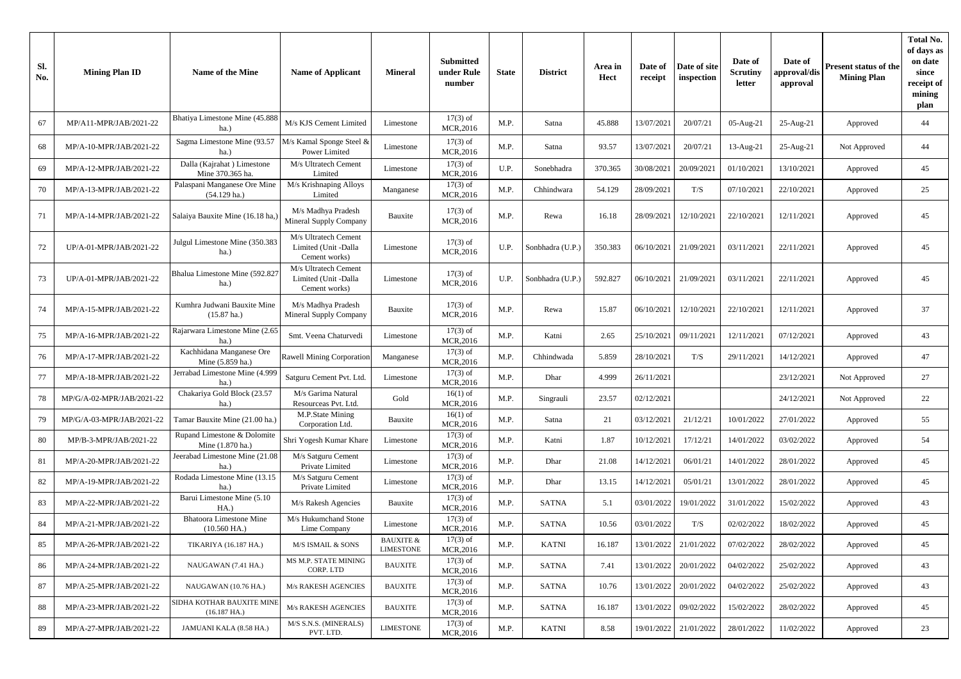| Sl.<br>No. | <b>Mining Plan ID</b>     | Name of the Mine                                     | <b>Name of Applicant</b>                                      | <b>Mineral</b>                           | <b>Submitted</b><br>under Rule<br>number | <b>State</b> | <b>District</b>  | Area in<br><b>Hect</b> | Date of<br>receipt | Date of site<br>inspection | Date of<br>Scrutiny<br>letter | Date of<br>approval/dis<br>approval | Present status of the<br><b>Mining Plan</b> | <b>Total No.</b><br>of days as<br>on date<br>since<br>receipt of<br>mining<br>plan |
|------------|---------------------------|------------------------------------------------------|---------------------------------------------------------------|------------------------------------------|------------------------------------------|--------------|------------------|------------------------|--------------------|----------------------------|-------------------------------|-------------------------------------|---------------------------------------------|------------------------------------------------------------------------------------|
| 67         | MP/A11-MPR/JAB/2021-22    | Bhatiya Limestone Mine (45.888<br>ha.)               | M/s KJS Cement Limited                                        | Limestone                                | $17(3)$ of<br>MCR, 2016                  | M.P.         | Satna            | 45.888                 | 13/07/2021         | 20/07/21                   | 05-Aug-21                     | $25$ -Aug- $21$                     | Approved                                    | 44                                                                                 |
| 68         | MP/A-10-MPR/JAB/2021-22   | Sagma Limestone Mine (93.57<br>ha.)                  | M/s Kamal Sponge Steel &<br>Power Limited                     | Limestone                                | $17(3)$ of<br>MCR, 2016                  | M.P.         | Satna            | 93.57                  | 13/07/2021         | 20/07/21                   | 13-Aug-21                     | $25$ -Aug- $21$                     | Not Approved                                | 44                                                                                 |
| 69         | MP/A-12-MPR/JAB/2021-22   | Dalla (Kajrahat) Limestone<br>Mine 370.365 ha.       | M/s Ultratech Cement<br>Limited                               | Limestone                                | $17(3)$ of<br>MCR,2016                   | U.P.         | Sonebhadra       | 370.365                | 30/08/2021         | 20/09/2021                 | 01/10/2021                    | 13/10/2021                          | Approved                                    | 45                                                                                 |
| 70         | MP/A-13-MPR/JAB/2021-22   | Palaspani Manganese Ore Mine<br>$(54.129$ ha.)       | M/s Krishnaping Alloys<br>Limited                             | Manganese                                | $17(3)$ of<br>MCR, 2016                  | M.P.         | Chhindwara       | 54.129                 | 28/09/2021         | T/S                        | 07/10/2021                    | 22/10/2021                          | Approved                                    | 25                                                                                 |
| 71         | MP/A-14-MPR/JAB/2021-22   | Salaiya Bauxite Mine (16.18 ha,                      | M/s Madhya Pradesh<br>Mineral Supply Company                  | Bauxite                                  | $17(3)$ of<br>MCR, 2016                  | M.P.         | Rewa             | 16.18                  | 28/09/2021         | 12/10/2021                 | 22/10/2021                    | 12/11/2021                          | Approved                                    | 45                                                                                 |
| 72         | UP/A-01-MPR/JAB/2021-22   | Julgul Limestone Mine (350.383<br>ha.)               | M/s Ultratech Cement<br>Limited (Unit -Dalla<br>Cement works) | Limestone                                | $17(3)$ of<br>MCR, 2016                  | U.P.         | Sonbhadra (U.P.) | 350.383                | 06/10/2021         | 21/09/2021                 | 03/11/2021                    | 22/11/2021                          | Approved                                    | 45                                                                                 |
| 73         | UP/A-01-MPR/JAB/2021-22   | Bhalua Limestone Mine (592.82)<br>ha.)               | M/s Ultratech Cement<br>Limited (Unit -Dalla<br>Cement works) | Limestone                                | $17(3)$ of<br>MCR, 2016                  | U.P.         | Sonbhadra (U.P.) | 592.827                | 06/10/2021         | 21/09/2021                 | 03/11/2021                    | 22/11/2021                          | Approved                                    | 45                                                                                 |
| -74        | MP/A-15-MPR/JAB/2021-22   | Kumhra Judwani Bauxite Mine<br>$(15.87 \text{ ha.})$ | M/s Madhya Pradesh<br>Mineral Supply Company                  | Bauxite                                  | $17(3)$ of<br>MCR,2016                   | M.P.         | Rewa             | 15.87                  | 06/10/2021         | 12/10/2021                 | 22/10/2021                    | 12/11/2021                          | Approved                                    | 37                                                                                 |
| 75         | MP/A-16-MPR/JAB/2021-22   | Rajarwara Limestone Mine (2.65<br>ha.)               | Smt. Veena Chaturvedi                                         | Limestone                                | $17(3)$ of<br>MCR, 2016                  | M.P.         | Katni            | 2.65                   | 25/10/2021         | 09/11/2021                 | 12/11/2021                    | 07/12/2021                          | Approved                                    | 43                                                                                 |
| 76         | MP/A-17-MPR/JAB/2021-22   | Kachhidana Manganese Ore<br>Mine (5.859 ha.)         | Rawell Mining Corporation                                     | Manganese                                | $17(3)$ of<br>MCR,2016                   | M.P.         | Chhindwada       | 5.859                  | 28/10/2021         | T/S                        | 29/11/2021                    | 14/12/2021                          | Approved                                    | 47                                                                                 |
| 77         | MP/A-18-MPR/JAB/2021-22   | Jerrabad Limestone Mine (4.999<br>$ha.$ )            | Satguru Cement Pvt. Ltd                                       | Limestone                                | $17(3)$ of<br>MCR,2016                   | M.P.         | Dhar             | 4.999                  | 26/11/2021         |                            |                               | 23/12/2021                          | Not Approved                                | 27                                                                                 |
| 78         | MP/G/A-02-MPR/JAB/2021-22 | Chakariya Gold Block (23.57<br>ha.)                  | M/s Garima Natural<br>Resourceas Pvt. Ltd.                    | Gold                                     | $16(1)$ of<br>MCR, 2016                  | M.P.         | Singrauli        | 23.57                  | 02/12/2021         |                            |                               | 24/12/2021                          | Not Approved                                | 22                                                                                 |
| 79         | MP/G/A-03-MPR/JAB/2021-22 | Tamar Bauxite Mine (21.00 ha.)                       | M.P.State Mining<br>Corporation Ltd.                          | Bauxite                                  | $16(1)$ of<br>MCR, 2016                  | M.P.         | Satna            | 21                     | 03/12/2021         | 21/12/21                   | 10/01/2022                    | 27/01/2022                          | Approved                                    | 55                                                                                 |
| 80         | MP/B-3-MPR/JAB/2021-22    | Rupand Limestone & Dolomite<br>Mine (1.870 ha.)      | Shri Yogesh Kumar Khare                                       | Limestone                                | $17(3)$ of<br>MCR, 2016                  | M.P.         | Katni            | 1.87                   | 10/12/2021         | 17/12/21                   | 14/01/2022                    | 03/02/2022                          | Approved                                    | 54                                                                                 |
| 81         | MP/A-20-MPR/JAB/2021-22   | Jeerabad Limestone Mine (21.08<br>ha.)               | M/s Satguru Cement<br>Private Limited                         | Limestone                                | $17(3)$ of<br>MCR, 2016                  | M.P.         | Dhar             | 21.08                  | 14/12/2021         | 06/01/21                   | 14/01/2022                    | 28/01/2022                          | Approved                                    | 45                                                                                 |
| 82         | MP/A-19-MPR/JAB/2021-22   | Rodada Limestone Mine (13.15<br>ha.)                 | M/s Satguru Cement<br>Private Limited                         | Limestone                                | $17(3)$ of<br>MCR,2016                   | M.P.         | Dhar             | 13.15                  | 14/12/2021         | 05/01/21                   | 13/01/2022                    | 28/01/2022                          | Approved                                    | 45                                                                                 |
| 83         | MP/A-22-MPR/JAB/2021-22   | Barui Limestone Mine (5.10<br>HA.                    | M/s Rakesh Agencies                                           | Bauxite                                  | $17(3)$ of<br>MCR, 2016                  | M.P.         | SATNA            | 5.1                    | 03/01/2022         | 19/01/2022                 | 31/01/2022                    | 15/02/2022                          | Approved                                    | 43                                                                                 |
| 84         | MP/A-21-MPR/JAB/2021-22   | <b>Bhatoora Limestone Mine</b><br>$(10.560$ HA.)     | M/s Hukumchand Stone<br>Lime Company                          | Limestone                                | $17(3)$ of<br>MCR, 2016                  | M.P.         | <b>SATNA</b>     | 10.56                  | 03/01/2022         | T/S                        | 02/02/2022                    | 18/02/2022                          | Approved                                    | 45                                                                                 |
| 85         | MP/A-26-MPR/JAB/2021-22   | TIKARIYA (16.187 HA.)                                | M/S ISMAIL & SONS                                             | <b>BAUXITE &amp;</b><br><b>LIMESTONE</b> | $17(3)$ of<br>MCR, 2016                  | M.P.         | $\text{KATNI}$   | 16.187                 | 13/01/2022         | 21/01/2022                 | 07/02/2022                    | 28/02/2022                          | Approved                                    | 45                                                                                 |
| 86         | MP/A-24-MPR/JAB/2021-22   | NAUGAWAN (7.41 HA.)                                  | MS M.P. STATE MINING<br>CORP. LTD                             | <b>BAUXITE</b>                           | $17(3)$ of<br>MCR, 2016                  | M.P.         | SATNA            | 7.41                   | 13/01/2022         | 20/01/2022                 | 04/02/2022                    | 25/02/2022                          | Approved                                    | 43                                                                                 |
| 87         | MP/A-25-MPR/JAB/2021-22   | NAUGAWAN (10.76 HA.)                                 | M/s RAKESH AGENCIES                                           | <b>BAUXITE</b>                           | $17(3)$ of<br>MCR, 2016                  | M.P.         | SATNA            | 10.76                  | 13/01/2022         | 20/01/2022                 | 04/02/2022                    | 25/02/2022                          | Approved                                    | 43                                                                                 |
| 88         | MP/A-23-MPR/JAB/2021-22   | SIDHA KOTHAR BAUXITE MINI<br>$(16.187 \text{ HA.})$  | M/s RAKESH AGENCIES                                           | <b>BAUXITE</b>                           | $17(3)$ of<br>MCR, 2016                  | M.P.         | SATNA            | 16.187                 | 13/01/2022         | 09/02/2022                 | 15/02/2022                    | 28/02/2022                          | Approved                                    | 45                                                                                 |
| -89        | MP/A-27-MPR/JAB/2021-22   | JAMUANI KALA (8.58 HA.)                              | M/S S.N.S. (MINERALS)<br>PVT. LTD.                            | <b>LIMESTONE</b>                         | $17(3)$ of<br>MCR, 2016                  | M.P.         | <b>KATNI</b>     | 8.58                   | 19/01/2022         | 21/01/2022                 | 28/01/2022                    | 11/02/2022                          | Approved                                    | 23                                                                                 |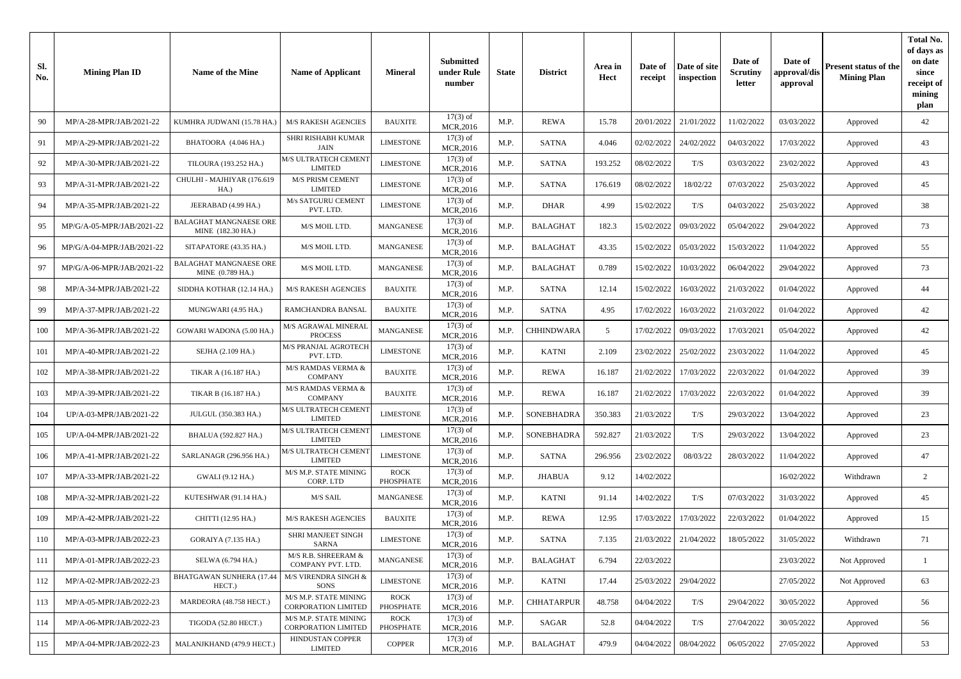| Sl.<br>No. | <b>Mining Plan ID</b>     | Name of the Mine                            | <b>Name of Applicant</b>                            | <b>Mineral</b>           | <b>Submitted</b><br>under Rule<br>number | <b>State</b> | <b>District</b>   | Area in<br>Hect | Date of<br>receipt | Date of site<br>inspection | Date of<br><b>Scrutiny</b><br>letter | Date of<br>approval/dis<br>approval | Present status of the<br><b>Mining Plan</b> | <b>Total No.</b><br>of days as<br>on date<br>since<br>receipt of<br>mining<br>plan |
|------------|---------------------------|---------------------------------------------|-----------------------------------------------------|--------------------------|------------------------------------------|--------------|-------------------|-----------------|--------------------|----------------------------|--------------------------------------|-------------------------------------|---------------------------------------------|------------------------------------------------------------------------------------|
| 90         | MP/A-28-MPR/JAB/2021-22   | KUMHRA JUDWANI (15.78 HA.)                  | <b>M/S RAKESH AGENCIES</b>                          | <b>BAUXITE</b>           | $17(3)$ of<br>MCR, 2016                  | M.P.         | <b>REWA</b>       | 15.78           | 20/01/2022         | 21/01/2022                 | 11/02/2022                           | 03/03/2022                          | Approved                                    | 42                                                                                 |
| 91         | MP/A-29-MPR/JAB/2021-22   | BHATOORA (4.046 HA.)                        | SHRI RISHABH KUMAR<br>JAIN                          | <b>LIMESTONE</b>         | $17(3)$ of<br>MCR, 2016                  | M.P.         | SATNA             | 4.046           | 02/02/2022         | 24/02/2022                 | 04/03/2022                           | 17/03/2022                          | Approved                                    | 43                                                                                 |
| 92         | MP/A-30-MPR/JAB/2021-22   | TILOURA (193.252 HA.)                       | M/S ULTRATECH CEMENT<br><b>LIMITED</b>              | <b>LIMESTONE</b>         | $17(3)$ of<br>MCR, 2016                  | M.P.         | <b>SATNA</b>      | 193.252         | 08/02/2022         | T/S                        | 03/03/2022                           | 23/02/2022                          | Approved                                    | 43                                                                                 |
| 93         | MP/A-31-MPR/JAB/2021-22   | CHULHI - MAJHIYAR (176.619<br>HA.)          | M/S PRISM CEMENT<br><b>LIMITED</b>                  | <b>LIMESTONE</b>         | $17(3)$ of<br>MCR, 2016                  | M.P.         | <b>SATNA</b>      | 176.619         | 08/02/2022         | 18/02/22                   | 07/03/2022                           | 25/03/2022                          | Approved                                    | 45                                                                                 |
| 94         | MP/A-35-MPR/JAB/2021-22   | JEERABAD (4.99 HA.)                         | M/s SATGURU CEMENT<br>PVT. LTD.                     | <b>LIMESTONE</b>         | $17(3)$ of<br>MCR, 2016                  | M.P.         | <b>DHAR</b>       | 4.99            | 15/02/2022         | T/S                        | 04/03/2022                           | 25/03/2022                          | Approved                                    | 38                                                                                 |
| 95         | MP/G/A-05-MPR/JAB/2021-22 | BALAGHAT MANGNAESE ORE<br>MINE (182.30 HA.) | M/S MOIL LTD.                                       | MANGANESE                | $17(3)$ of<br>MCR, 2016                  | M.P.         | <b>BALAGHAT</b>   | 182.3           | 15/02/2022         | 09/03/2022                 | 05/04/2022                           | 29/04/2022                          | Approved                                    | 73                                                                                 |
| 96         | MP/G/A-04-MPR/JAB/2021-22 | SITAPATORE (43.35 HA.)                      | M/S MOIL LTD.                                       | MANGANESE                | $17(3)$ of<br>MCR, 2016                  | M.P.         | <b>BALAGHAT</b>   | 43.35           | 15/02/2022         | 05/03/2022                 | 15/03/2022                           | 11/04/2022                          | Approved                                    | 55                                                                                 |
| 97         | MP/G/A-06-MPR/JAB/2021-22 | BALAGHAT MANGNAESE ORE<br>MINE (0.789 HA.)  | M/S MOIL LTD.                                       | MANGANESE                | $17(3)$ of<br>MCR, 2016                  | M.P.         | <b>BALAGHAT</b>   | 0.789           | 15/02/2022         | 10/03/2022                 | 06/04/2022                           | 29/04/2022                          | Approved                                    | 73                                                                                 |
| 98         | MP/A-34-MPR/JAB/2021-22   | SIDDHA KOTHAR (12.14 HA.)                   | <b>M/S RAKESH AGENCIES</b>                          | <b>BAUXITE</b>           | $17(3)$ of<br>MCR, 2016                  | M.P.         | <b>SATNA</b>      | 12.14           | 15/02/2022         | 16/03/2022                 | 21/03/2022                           | 01/04/2022                          | Approved                                    | 44                                                                                 |
| 99         | MP/A-37-MPR/JAB/2021-22   | MUNGWARI (4.95 HA.)                         | RAMCHANDRA BANSAL                                   | <b>BAUXITE</b>           | $17(3)$ of<br>MCR, 2016                  | M.P.         | SATNA             | 4.95            | 17/02/2022         | 16/03/2022                 | 21/03/2022                           | 01/04/2022                          | Approved                                    | 42                                                                                 |
| 100        | MP/A-36-MPR/JAB/2021-22   | GOWARI WADONA (5.00 HA.)                    | M/S AGRAWAL MINERAL<br><b>PROCESS</b>               | MANGANESE                | $17(3)$ of<br>MCR, 2016                  | M.P.         | <b>CHHINDWARA</b> | 5               | 17/02/2022         | 09/03/2022                 | 17/03/2021                           | 05/04/2022                          | Approved                                    | 42                                                                                 |
| 101        | MP/A-40-MPR/JAB/2021-22   | SEJHA (2.109 HA.)                           | M/S PRANJAL AGROTECH<br>PVT. LTD.                   | <b>LIMESTONE</b>         | $17(3)$ of<br>MCR, 2016                  | M.P.         | <b>KATNI</b>      | 2.109           | 23/02/2022         | 25/02/2022                 | 23/03/2022                           | 11/04/2022                          | Approved                                    | 45                                                                                 |
| 102        | MP/A-38-MPR/JAB/2021-22   | TIKAR A (16.187 HA.)                        | M/S RAMDAS VERMA &<br><b>COMPANY</b>                | <b>BAUXITE</b>           | $17(3)$ of<br>MCR,2016                   | M.P.         | <b>REWA</b>       | 16.187          | 21/02/2022         | 17/03/2022                 | 22/03/2022                           | 01/04/2022                          | Approved                                    | 39                                                                                 |
| 103        | MP/A-39-MPR/JAB/2021-22   | TIKAR B (16.187 HA.)                        | M/S RAMDAS VERMA &<br><b>COMPANY</b>                | <b>BAUXITE</b>           | $17(3)$ of<br>MCR, 2016                  | M.P.         | <b>REWA</b>       | 16.187          | 21/02/2022         | 17/03/2022                 | 22/03/2022                           | 01/04/2022                          | Approved                                    | 39                                                                                 |
| 104        | UP/A-03-MPR/JAB/2021-22   | JULGUL (350.383 HA.)                        | M/S ULTRATECH CEMENT<br><b>LIMITED</b>              | LIMESTONE                | $17(3)$ of<br>MCR, 2016                  | M.P.         | SONEBHADRA        | 350.383         | 21/03/2022         | T/S                        | 29/03/2022                           | 13/04/2022                          | Approved                                    | 23                                                                                 |
| 105        | UP/A-04-MPR/JAB/2021-22   | BHALUA (592.827 HA.)                        | M/S ULTRATECH CEMENT<br><b>LIMITED</b>              | <b>LIMESTONE</b>         | $17(3)$ of<br>MCR, 2016                  | M.P.         | SONEBHADRA        | 592.827         | 21/03/2022         | T/S                        | 29/03/2022                           | 13/04/2022                          | Approved                                    | 23                                                                                 |
| 106        | MP/A-41-MPR/JAB/2021-22   | SARLANAGR (296.956 HA.)                     | <b>M/S ULTRATECH CEMENT</b><br><b>LIMITED</b>       | <b>LIMESTONE</b>         | $17(3)$ of<br>MCR, 2016                  | M.P.         | SATNA             | 296.956         | 23/02/2022         | 08/03/22                   | 28/03/2022                           | 11/04/2022                          | Approved                                    | 47                                                                                 |
| 107        | MP/A-33-MPR/JAB/2021-22   | GWALI (9.12 HA.)                            | M/S M.P. STATE MINING<br>CORP. LTD                  | <b>ROCK</b><br>PHOSPHATE | $17(3)$ of<br>MCR, 2016                  | M.P.         | <b>JHABUA</b>     | 9.12            | 14/02/2022         |                            |                                      | 16/02/2022                          | Withdrawn                                   | $\overline{2}$                                                                     |
| 108        | MP/A-32-MPR/JAB/2021-22   | KUTESHWAR (91.14 HA.)                       | M/S SAIL                                            | MANGANESE                | $17(3)$ of<br>MCR, 2016                  | M.P.         | <b>KATNI</b>      | 91.14           | 14/02/2022         | T/S                        | 07/03/2022                           | 31/03/2022                          | Approved                                    | 45                                                                                 |
| 109        | MP/A-42-MPR/JAB/2021-22   | CHITTI (12.95 HA.)                          | <b>M/S RAKESH AGENCIES</b>                          | <b>BAUXITE</b>           | $17(3)$ of<br>MCR, 2016                  | M.P.         | <b>REWA</b>       | 12.95           | 17/03/2022         | 17/03/2022                 | 22/03/2022                           | 01/04/2022                          | Approved                                    | 15                                                                                 |
| 110        | MP/A-03-MPR/JAB/2022-23   | GORAIYA (7.135 HA.)                         | SHRI MANJEET SINGH<br>SARNA                         | LIMESTONE                | $17(3)$ of<br>MCR, 2016                  | M.P.         | SATNA             | 7.135           | 21/03/2022         | 21/04/2022                 | 18/05/2022                           | 31/05/2022                          | Withdrawn                                   | 71                                                                                 |
| 111        | MP/A-01-MPR/JAB/2022-23   | SELWA (6.794 HA.)                           | M/S R.B. SHREERAM &<br>COMPANY PVT. LTD.            | MANGANESE                | $17(3)$ of<br>MCR,2016                   | M.P.         | <b>BALAGHAT</b>   | 6.794           | 22/03/2022         |                            |                                      | 23/03/2022                          | Not Approved                                | 1                                                                                  |
| 112        | MP/A-02-MPR/JAB/2022-23   | <b>BHATGAWAN SUNHERA (17.44</b><br>HECT.)   | M/S VIRENDRA SINGH &<br>SONS                        | <b>LIMESTONE</b>         | $17(3)$ of<br>MCR, 2016                  | M.P.         | KATNI             | 17.44           | 25/03/2022         | 29/04/2022                 |                                      | 27/05/2022                          | Not Approved                                | 63                                                                                 |
| 113        | MP/A-05-MPR/JAB/2022-23   | MARDEORA (48.758 HECT.)                     | M/S M.P. STATE MINING<br>CORPORATION LIMITED        | ROCK<br>PHOSPHATE        | $17(3)$ of<br>MCR, 2016                  | M.P.         | <b>CHHATARPUR</b> | 48.758          | 04/04/2022         | T/S                        | 29/04/2022                           | 30/05/2022                          | Approved                                    | 56                                                                                 |
| 114        | MP/A-06-MPR/JAB/2022-23   | TIGODA (52.80 HECT.)                        | M/S M.P. STATE MINING<br><b>CORPORATION LIMITED</b> | <b>ROCK</b><br>PHOSPHATE | $17(3)$ of<br>MCR, 2016                  | M.P.         | SAGAR             | 52.8            | 04/04/2022         | T/S                        | 27/04/2022                           | 30/05/2022                          | Approved                                    | 56                                                                                 |
| 115        | MP/A-04-MPR/JAB/2022-23   | MALANJKHAND (479.9 HECT.)                   | HINDUSTAN COPPER<br><b>LIMITED</b>                  | <b>COPPER</b>            | $17(3)$ of<br>MCR, 2016                  | M.P.         | <b>BALAGHAT</b>   | 479.9           | 04/04/2022         | 08/04/2022                 | 06/05/2022                           | 27/05/2022                          | Approved                                    | 53                                                                                 |